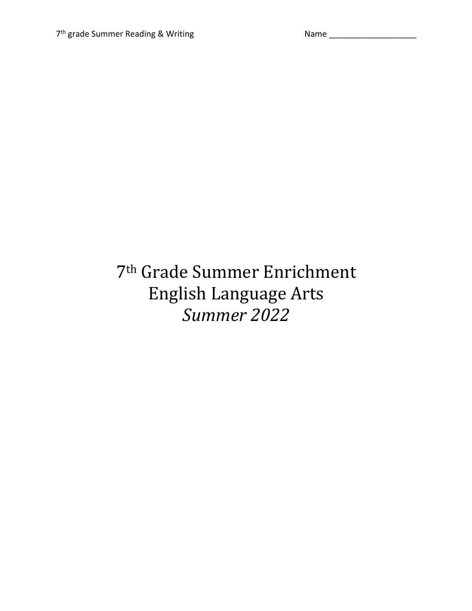## 7<sup>th</sup> Grade Summer Enrichment English Language Arts *Summer 2022*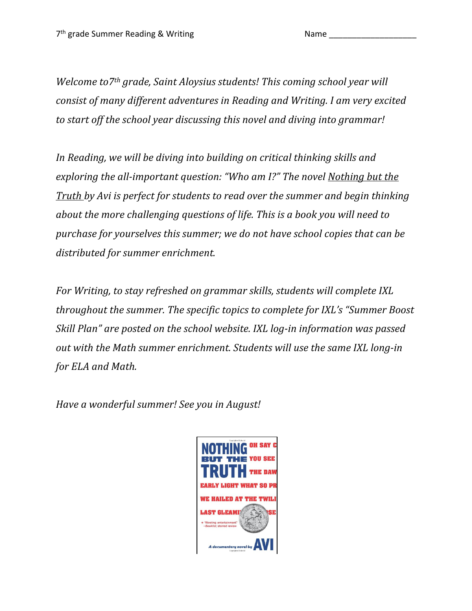*Welcome to7<sup>th</sup> grade, Saint Aloysius students! This coming school year will consist of many different adventures in Reading and Writing. I am very excited to* start off the school year discussing this novel and diving into grammar!

In Reading, we will be diving into building on critical thinking skills and *exploring the all-important question:* "Who am I?" The novel Nothing but the *Truth* by Avi is perfect for students to read over the summer and begin thinking *about the more challenging questions of life. This is a book you will need to purchase for yourselves this summer; we do not have school copies that can be* distributed for summer enrichment.

*For Writing, to stay refreshed on grammar skills, students will complete IXL throughout the summer. The specific topics to complete for IXL's "Summer Boost Skill Plan"* are posted on the school website. IXL log-in information was passed out with the Math summer enrichment. Students will use the same IXL long-in for ELA and Math.

*Have a wonderful summer! See you in August!*

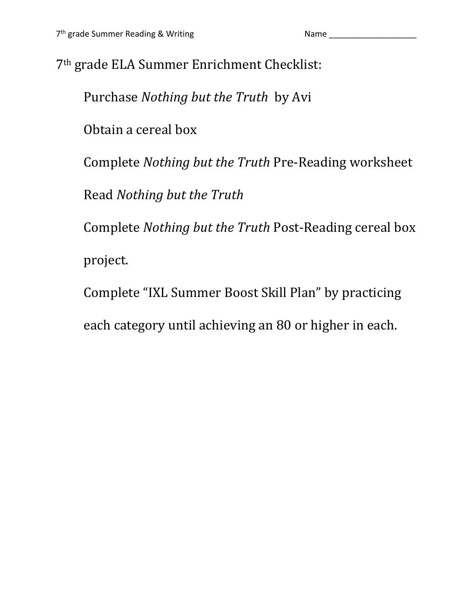7<sup>th</sup> grade ELA Summer Enrichment Checklist:

Purchase *Nothing but the Truth* by Avi

Obtain a cereal box

Complete *Nothing but the Truth* Pre-Reading worksheet

Read *Nothing but the Truth*

Complete *Nothing but the Truth* Post-Reading cereal box project.

Complete "IXL Summer Boost Skill Plan" by practicing

each category until achieving an 80 or higher in each.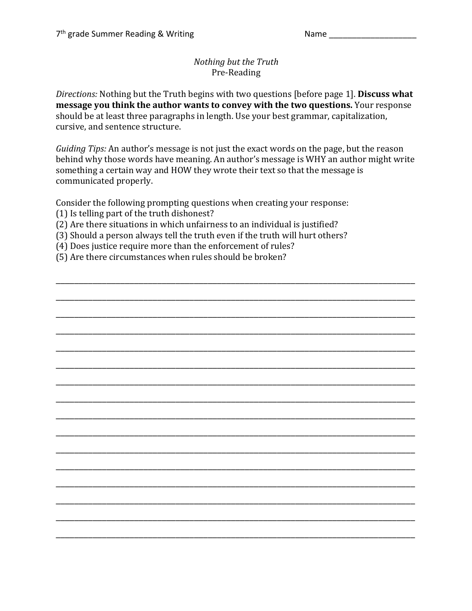## *Nothing but the Truth* Pre-Reading

Directions: Nothing but the Truth begins with two questions [before page 1]. Discuss what **message you think the author wants to convey with the two questions.** Your response should be at least three paragraphs in length. Use your best grammar, capitalization, cursive, and sentence structure.

*Guiding Tips:* An author's message is not just the exact words on the page, but the reason behind why those words have meaning. An author's message is WHY an author might write something a certain way and HOW they wrote their text so that the message is communicated properly.

\_\_\_\_\_\_\_\_\_\_\_\_\_\_\_\_\_\_\_\_\_\_\_\_\_\_\_\_\_\_\_\_\_\_\_\_\_\_\_\_\_\_\_\_\_\_\_\_\_\_\_\_\_\_\_\_\_\_\_\_\_\_\_\_\_\_\_\_\_\_\_\_\_\_\_\_\_\_

\_\_\_\_\_\_\_\_\_\_\_\_\_\_\_\_\_\_\_\_\_\_\_\_\_\_\_\_\_\_\_\_\_\_\_\_\_\_\_\_\_\_\_\_\_\_\_\_\_\_\_\_\_\_\_\_\_\_\_\_\_\_\_\_\_\_\_\_\_\_\_\_\_\_\_\_\_\_

\_\_\_\_\_\_\_\_\_\_\_\_\_\_\_\_\_\_\_\_\_\_\_\_\_\_\_\_\_\_\_\_\_\_\_\_\_\_\_\_\_\_\_\_\_\_\_\_\_\_\_\_\_\_\_\_\_\_\_\_\_\_\_\_\_\_\_\_\_\_\_\_\_\_\_\_\_\_

\_\_\_\_\_\_\_\_\_\_\_\_\_\_\_\_\_\_\_\_\_\_\_\_\_\_\_\_\_\_\_\_\_\_\_\_\_\_\_\_\_\_\_\_\_\_\_\_\_\_\_\_\_\_\_\_\_\_\_\_\_\_\_\_\_\_\_\_\_\_\_\_\_\_\_\_\_\_

\_\_\_\_\_\_\_\_\_\_\_\_\_\_\_\_\_\_\_\_\_\_\_\_\_\_\_\_\_\_\_\_\_\_\_\_\_\_\_\_\_\_\_\_\_\_\_\_\_\_\_\_\_\_\_\_\_\_\_\_\_\_\_\_\_\_\_\_\_\_\_\_\_\_\_\_\_\_

\_\_\_\_\_\_\_\_\_\_\_\_\_\_\_\_\_\_\_\_\_\_\_\_\_\_\_\_\_\_\_\_\_\_\_\_\_\_\_\_\_\_\_\_\_\_\_\_\_\_\_\_\_\_\_\_\_\_\_\_\_\_\_\_\_\_\_\_\_\_\_\_\_\_\_\_\_\_

\_\_\_\_\_\_\_\_\_\_\_\_\_\_\_\_\_\_\_\_\_\_\_\_\_\_\_\_\_\_\_\_\_\_\_\_\_\_\_\_\_\_\_\_\_\_\_\_\_\_\_\_\_\_\_\_\_\_\_\_\_\_\_\_\_\_\_\_\_\_\_\_\_\_\_\_\_\_

\_\_\_\_\_\_\_\_\_\_\_\_\_\_\_\_\_\_\_\_\_\_\_\_\_\_\_\_\_\_\_\_\_\_\_\_\_\_\_\_\_\_\_\_\_\_\_\_\_\_\_\_\_\_\_\_\_\_\_\_\_\_\_\_\_\_\_\_\_\_\_\_\_\_\_\_\_\_

\_\_\_\_\_\_\_\_\_\_\_\_\_\_\_\_\_\_\_\_\_\_\_\_\_\_\_\_\_\_\_\_\_\_\_\_\_\_\_\_\_\_\_\_\_\_\_\_\_\_\_\_\_\_\_\_\_\_\_\_\_\_\_\_\_\_\_\_\_\_\_\_\_\_\_\_\_\_

\_\_\_\_\_\_\_\_\_\_\_\_\_\_\_\_\_\_\_\_\_\_\_\_\_\_\_\_\_\_\_\_\_\_\_\_\_\_\_\_\_\_\_\_\_\_\_\_\_\_\_\_\_\_\_\_\_\_\_\_\_\_\_\_\_\_\_\_\_\_\_\_\_\_\_\_\_\_

\_\_\_\_\_\_\_\_\_\_\_\_\_\_\_\_\_\_\_\_\_\_\_\_\_\_\_\_\_\_\_\_\_\_\_\_\_\_\_\_\_\_\_\_\_\_\_\_\_\_\_\_\_\_\_\_\_\_\_\_\_\_\_\_\_\_\_\_\_\_\_\_\_\_\_\_\_\_

\_\_\_\_\_\_\_\_\_\_\_\_\_\_\_\_\_\_\_\_\_\_\_\_\_\_\_\_\_\_\_\_\_\_\_\_\_\_\_\_\_\_\_\_\_\_\_\_\_\_\_\_\_\_\_\_\_\_\_\_\_\_\_\_\_\_\_\_\_\_\_\_\_\_\_\_\_\_

\_\_\_\_\_\_\_\_\_\_\_\_\_\_\_\_\_\_\_\_\_\_\_\_\_\_\_\_\_\_\_\_\_\_\_\_\_\_\_\_\_\_\_\_\_\_\_\_\_\_\_\_\_\_\_\_\_\_\_\_\_\_\_\_\_\_\_\_\_\_\_\_\_\_\_\_\_\_

\_\_\_\_\_\_\_\_\_\_\_\_\_\_\_\_\_\_\_\_\_\_\_\_\_\_\_\_\_\_\_\_\_\_\_\_\_\_\_\_\_\_\_\_\_\_\_\_\_\_\_\_\_\_\_\_\_\_\_\_\_\_\_\_\_\_\_\_\_\_\_\_\_\_\_\_\_\_

\_\_\_\_\_\_\_\_\_\_\_\_\_\_\_\_\_\_\_\_\_\_\_\_\_\_\_\_\_\_\_\_\_\_\_\_\_\_\_\_\_\_\_\_\_\_\_\_\_\_\_\_\_\_\_\_\_\_\_\_\_\_\_\_\_\_\_\_\_\_\_\_\_\_\_\_\_\_

\_\_\_\_\_\_\_\_\_\_\_\_\_\_\_\_\_\_\_\_\_\_\_\_\_\_\_\_\_\_\_\_\_\_\_\_\_\_\_\_\_\_\_\_\_\_\_\_\_\_\_\_\_\_\_\_\_\_\_\_\_\_\_\_\_\_\_\_\_\_\_\_\_\_\_\_\_\_

Consider the following prompting questions when creating your response: (1) Is telling part of the truth dishonest?

- (2) Are there situations in which unfairness to an individual is justified?
- (3) Should a person always tell the truth even if the truth will hurt others?
- (4) Does justice require more than the enforcement of rules?
- (5) Are there circumstances when rules should be broken?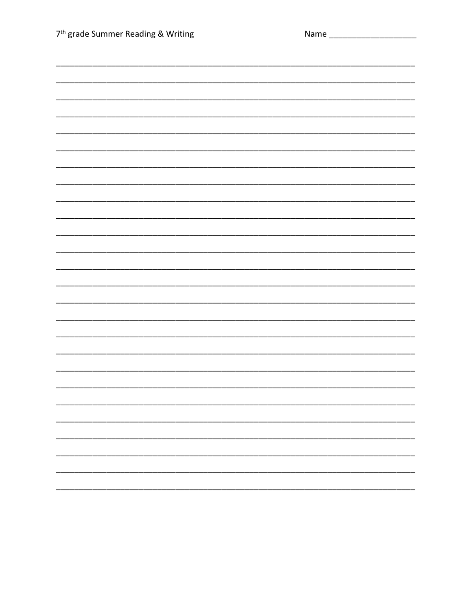| 7 <sup>th</sup> grade Summer Reading & Writing |  |
|------------------------------------------------|--|
|                                                |  |
|                                                |  |
|                                                |  |
|                                                |  |
|                                                |  |
|                                                |  |
|                                                |  |
|                                                |  |
|                                                |  |
|                                                |  |
|                                                |  |
|                                                |  |
|                                                |  |
|                                                |  |
|                                                |  |
|                                                |  |
|                                                |  |
|                                                |  |
|                                                |  |
|                                                |  |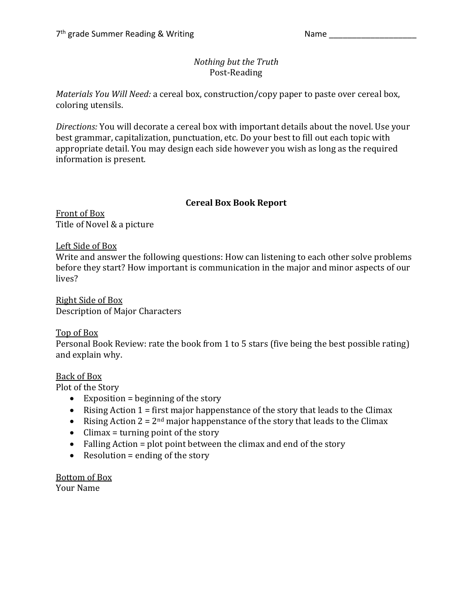## *Nothing but the Truth* Post-Reading

*Materials You Will Need:* a cereal box, construction/copy paper to paste over cereal box, coloring utensils.

*Directions:* You will decorate a cereal box with important details about the novel. Use your best grammar, capitalization, punctuation, etc. Do your best to fill out each topic with appropriate detail. You may design each side however you wish as long as the required information is present.

### **Cereal Box Book Report**

Front of Box Title of Novel & a picture

Left Side of Box

Write and answer the following questions: How can listening to each other solve problems before they start? How important is communication in the major and minor aspects of our lives?

Right Side of Box Description of Major Characters

### Top of Box

Personal Book Review: rate the book from 1 to 5 stars (five being the best possible rating) and explain why.

### Back of Box

Plot of the Story

- Exposition = beginning of the story
- Rising Action  $1 =$  first major happenstance of the story that leads to the Climax
- Rising Action  $2 = 2^{nd}$  major happenstance of the story that leads to the Climax
- Climax = turning point of the story
- Falling Action = plot point between the climax and end of the story
- Resolution  $=$  ending of the story

Bottom of Box Your Name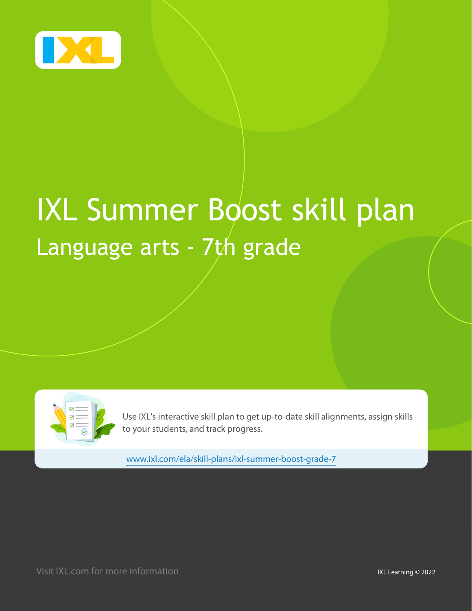

# IXL Summer Boost skill plan Language arts - 7th grade



Use IXL's interactive skill plan to get up-to-date skill alignments, assign skills to your students, and track progress.

www.ixl.com/ela/skill-plans/ixl-summer-boost-grade-7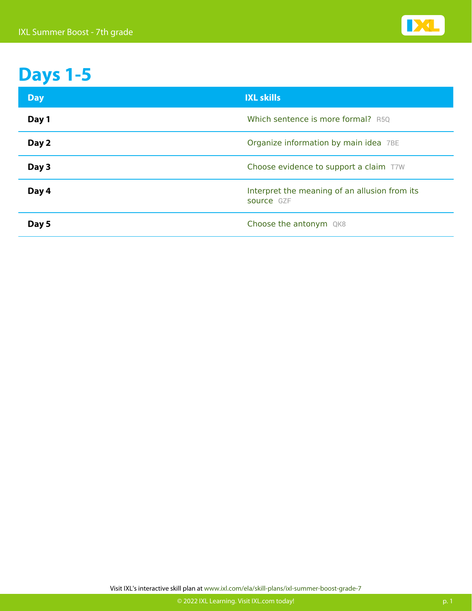

# **Days 1-5**

| <b>Day</b> | <b>IXL skills</b>                                           |
|------------|-------------------------------------------------------------|
| Day 1      | Which sentence is more formal? R5Q                          |
| Day 2      | Organize information by main idea 7BE                       |
| Day 3      | Choose evidence to support a claim T7W                      |
| Day 4      | Interpret the meaning of an allusion from its<br>source GZF |
| Day 5      | Choose the antonym QK8                                      |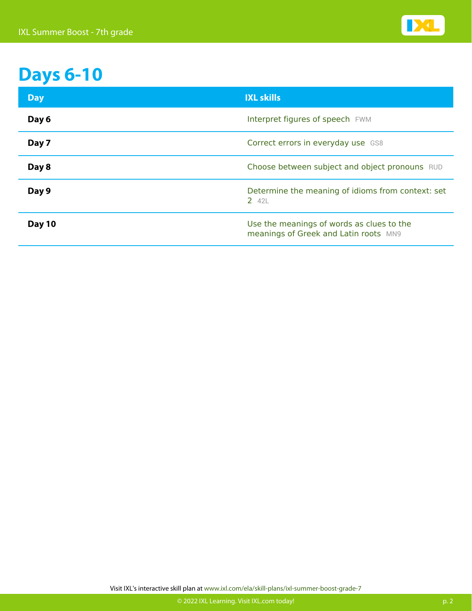

# **Days 6-10**

| <b>Day</b> | <b>IXL skills</b>                                                                  |
|------------|------------------------------------------------------------------------------------|
| Day 6      | Interpret figures of speech FWM                                                    |
| Day 7      | Correct errors in everyday use GS8                                                 |
| Day 8      | Choose between subject and object pronouns RUD                                     |
| Day 9      | Determine the meaning of idioms from context: set<br>2 42L                         |
| Day 10     | Use the meanings of words as clues to the<br>meanings of Greek and Latin roots MN9 |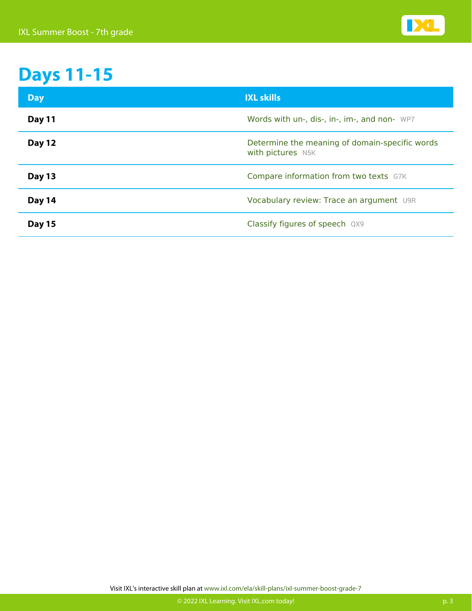

# **Days 11-15**

| <b>Day</b>    | <b>IXL skills</b>                                                   |
|---------------|---------------------------------------------------------------------|
| Day 11        | Words with un-, dis-, in-, im-, and non- WP7                        |
| <b>Day 12</b> | Determine the meaning of domain-specific words<br>with pictures N5K |
| <b>Day 13</b> | Compare information from two texts G7K                              |
| Day 14        | Vocabulary review: Trace an argument U9R                            |
| <b>Day 15</b> | Classify figures of speech QX9                                      |